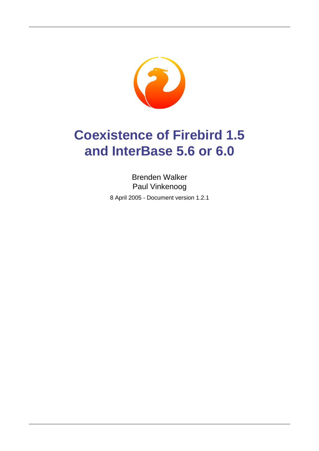

# **Coexistence of Firebird 1.5 and InterBase 5.6 or 6.0**

Brenden Walker Paul Vinkenoog 8 April 2005 - Document version 1.2.1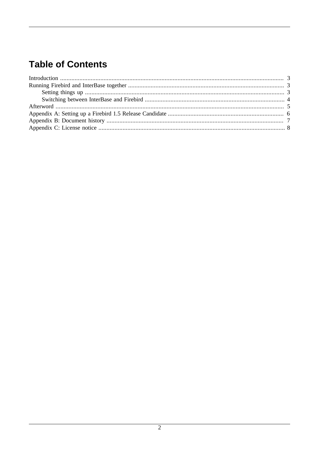### **Table of Contents**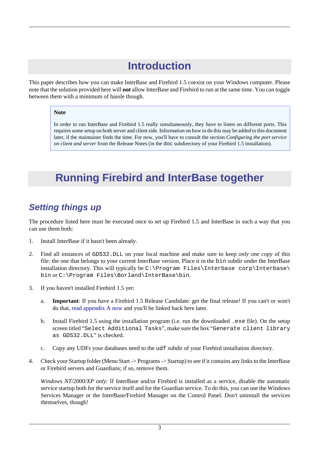# **Introduction**

<span id="page-2-0"></span>This paper describes how you can make InterBase and Firebird 1.5 coexist on your Windows computer. Please note that the solution provided here will **not** allow InterBase and Firebird to run at the same time. You can toggle between them with a minimum of hassle though.

#### **Note**

In order to run InterBase and Firebird 1.5 really simultaneously, they have to listen on different ports. This requires some setup on both server and client side. Information on how to do this may be added to this document later, if the maintainer finds the time. For now, you'll have to consult the section *Configuring the port service on client and server* from the Release Notes (in the doc subdirectory of your Firebird 1.5 installation).

### <span id="page-2-1"></span>**Running Firebird and InterBase together**

#### <span id="page-2-2"></span>**Setting things up**

The procedure listed here must be executed once to set up Firebird 1.5 and InterBase in such a way that you can use them both:

- 1. Install InterBase if it hasn't been already.
- 2. Find all instances of GDS32.DLL on your local machine and make sure to keep *only one copy* of this file: the one that belongs to your current InterBase version. Place it in the bin subdir under the InterBase installation directory. This will typically be C:\Program Files\Interbase corp\Interbase\ bin or C:\Program Files\Borland\InterBase\bin.
- 3. If you haven't installed Firebird 1.5 yet:
	- a. **Important**: If you have a Firebird 1.5 Release Candidate: get the final release! If you can't or won't do that, [read appendix A now](#page-5-0) and you'll be linked back here later.
	- b. Install Firebird 1.5 using the installation program (i.e. run the downloaded .exe file). On the setup screen titled "Select Additional Tasks", make sure the box "Generate client library as GDS32.DLL" is checked.
	- c. Copy any UDFs your databases need to the udf subdir of your Firebird installation directory.
- 4. Check your Startup folder (Menu Start -> Programs -> Startup) to see if it contains any links to the InterBase or Firebird servers and Guardians; if so, remove them.

*Windows NT/2000/XP only*: If InterBase and/or Firebird is installed as a service, disable the automatic service startup both for the service itself and for the Guardian service. To do this, you can use the Windows Services Manager or the InterBase/Firebird Manager on the Control Panel. Don't uninstall the services themselves, though!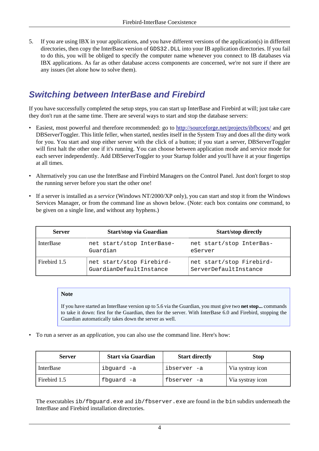5. If you are using IBX in your applications, and you have different versions of the application(s) in different directories, then copy the InterBase version of GDS32.DLL into your IB application directories. If you fail to do this, you will be obliged to specify the computer name whenever you connect to IB databases via IBX applications. As far as other database access components are concerned, we're not sure if there are any issues (let alone how to solve them).

#### <span id="page-3-0"></span>**Switching between InterBase and Firebird**

If you have successfully completed the setup steps, you can start up InterBase and Firebird at will; just take care they don't run at the same time. There are several ways to start and stop the database servers:

- Easiest, most powerful and therefore recommended: go to <http://sourceforge.net/projects/ibfbcoex/> and get DBServerToggler. This little feller, when started, nestles itself in the System Tray and does all the dirty work for you. You start and stop either server with the click of a button; if you start a server, DBServerToggler will first halt the other one if it's running. You can choose between application mode and service mode for each server independently. Add DBServerToggler to your Startup folder and you'll have it at your fingertips at all times.
- Alternatively you can use the InterBase and Firebird Managers on the Control Panel. Just don't forget to stop the running server before you start the other one!
- If a server is installed as a *service* (Windows NT/2000/XP only), you can start and stop it from the Windows Services Manager, or from the command line as shown below. (Note: each box contains *one* command, to be given on a single line, and without any hyphens.)

| <b>Server</b>    | <b>Start/stop via Guardian</b>                      | <b>Start/stop directly</b>                        |
|------------------|-----------------------------------------------------|---------------------------------------------------|
| <b>InterBase</b> | net start/stop InterBase-<br>Guardian               | net start/stop InterBas-<br>eServer               |
| Firebird 1.5     | net start/stop Firebird-<br>GuardianDefaultInstance | net start/stop Firebird-<br>ServerDefaultInstance |

#### **Note**

If you have started an InterBase version up to 5.6 via the Guardian, you must give two **net stop...** commands to take it down: first for the Guardian, then for the server. With InterBase 6.0 and Firebird, stopping the Guardian automatically takes down the server as well.

• To run a server as an *application*, you can also use the command line. Here's how:

| <b>Server</b>    | <b>Start via Guardian</b> | <b>Start directly</b> | <b>Stop</b>      |
|------------------|---------------------------|-----------------------|------------------|
| <b>InterBase</b> | ibquard -a                | ibserver -a           | Via systray icon |
| Firebird 1.5     | fbquard -a                | fbserver -a           | Via systray icon |

The executables ib/fbguard.exe and ib/fbserver.exe are found in the bin subdirs underneath the InterBase and Firebird installation directories.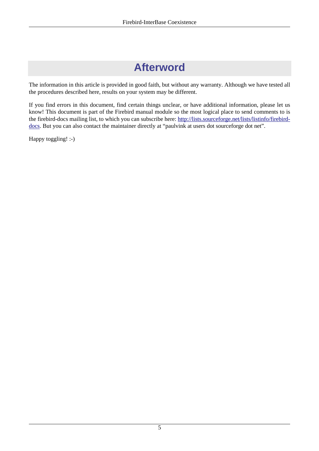### **Afterword**

<span id="page-4-0"></span>The information in this article is provided in good faith, but without any warranty. Although we have tested all the procedures described here, results on your system may be different.

If you find errors in this document, find certain things unclear, or have additional information, please let us know! This document is part of the Firebird manual module so the most logical place to send comments to is the firebird-docs mailing list, to which you can subscribe here: [http://lists.sourceforge.net/lists/listinfo/firebird](http://lists.sourceforge.net/lists/listinfo/firebird-docs)[docs](http://lists.sourceforge.net/lists/listinfo/firebird-docs). But you can also contact the maintainer directly at "paulvink at users dot sourceforge dot net".

Happy toggling! :-)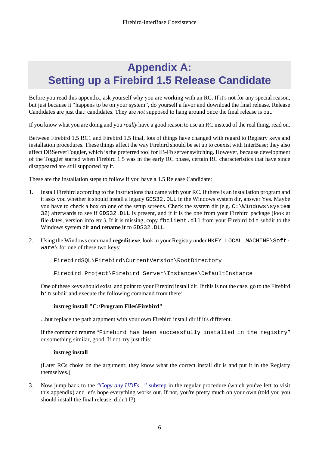### <span id="page-5-0"></span>**Appendix A: Setting up a Firebird 1.5 Release Candidate**

Before you read this appendix, ask yourself why you are working with an RC. If it's not for any special reason, but just because it "happens to be on your system", do yourself a favor and download the final release. Release Candidates are just that: candidates. They are *not* supposed to hang around once the final release is out.

If you know what you are doing and you *really* have a good reason to use an RC instead of the real thing, read on.

Between Firebird 1.5 RC1 and Firebird 1.5 final, lots of things have changed with regard to Registry keys and installation procedures. These things affect the way Firebird should be set up to coexist with InterBase; they also affect DBServerToggler, which is the preferred tool for IB-Fb server switching. However, because development of the Toggler started when Firebird 1.5 was in the early RC phase, certain RC characteristics that have since disappeared are still supported by it.

These are the installation steps to follow if you have a 1.5 Release Candidate:

- 1. Install Firebird according to the instructions that came with your RC. If there is an installation program and it asks you whether it should install a legacy GDS32.DLL in the Windows system dir, answer Yes. Maybe you have to check a box on one of the setup screens. Check the system dir (e.g.  $C:\W$ indows\system 32) afterwards to see if GDS32.DLL is present, and if it is the one from your Firebird package (look at file dates, version info etc.). If it is missing, copy fbclient.dll from your Firebird bin subdir to the Windows system dir **and rename it** to GDS32.DLL.
- 2. Using the Windows command **regedit.exe**, look in your Registry under HKEY\_LOCAL\_MACHINE\Software\ for one of these two keys:

FirebirdSQL\Firebird\CurrentVersion\RootDirectory

Firebird Project\Firebird Server\Instances\DefaultInstance

One of these keys should exist, and point to your Firebird install dir. If this is not the case, go to the Firebird bin subdir and execute the following command from there:

#### **instreg install "C:\Program Files\Firebird"**

...but replace the path argument with your own Firebird install dir if it's different.

If the command returns "Firebird has been successfully installed in the registry" or something similar, good. If not, try just this:

#### **instreg install**

(Later RCs choke on the argument; they know what the correct install dir is and put it in the Registry themselves.)

3. Now jump back to the *"Copy any UDFs..."* substep in the regular procedure (which you've left to visit this appendix) and let's hope everything works out. If not, you're pretty much on your own (told you you should install the final release, didn't I?).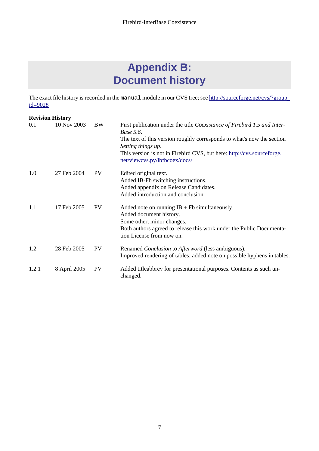# **Appendix B: Document history**

<span id="page-6-0"></span>The exact file history is recorded in the manual module in our CVS tree; see [http://sourceforge.net/cvs/?group\\_](http://sourceforge.net/cvs/?group_id=9028) [id=9028](http://sourceforge.net/cvs/?group_id=9028)

#### **Revision History**

| 0.1   | 10 Nov 2003  | <b>BW</b> | First publication under the title Coexistance of Firebird 1.5 and Inter-<br><i>Base</i> 5.6.<br>The text of this version roughly corresponds to what's now the section<br>Setting things up.<br>This version is not in Firebird CVS, but here: http://cvs.sourceforge.<br>net/viewcvs.py/ibfbcoex/docs/ |
|-------|--------------|-----------|---------------------------------------------------------------------------------------------------------------------------------------------------------------------------------------------------------------------------------------------------------------------------------------------------------|
| 1.0   | 27 Feb 2004  | <b>PV</b> | Edited original text.<br>Added IB-Fb switching instructions.<br>Added appendix on Release Candidates.<br>Added introduction and conclusion.                                                                                                                                                             |
| 1.1   | 17 Feb 2005  | <b>PV</b> | Added note on running $IB + Fb$ simultaneously.<br>Added document history.<br>Some other, minor changes.<br>Both authors agreed to release this work under the Public Documenta-<br>tion License from now on.                                                                                           |
| 1.2   | 28 Feb 2005  | <b>PV</b> | Renamed Conclusion to Afterword (less ambiguous).<br>Improved rendering of tables; added note on possible hyphens in tables.                                                                                                                                                                            |
| 1.2.1 | 8 April 2005 | <b>PV</b> | Added titleabbrev for presentational purposes. Contents as such un-<br>changed.                                                                                                                                                                                                                         |